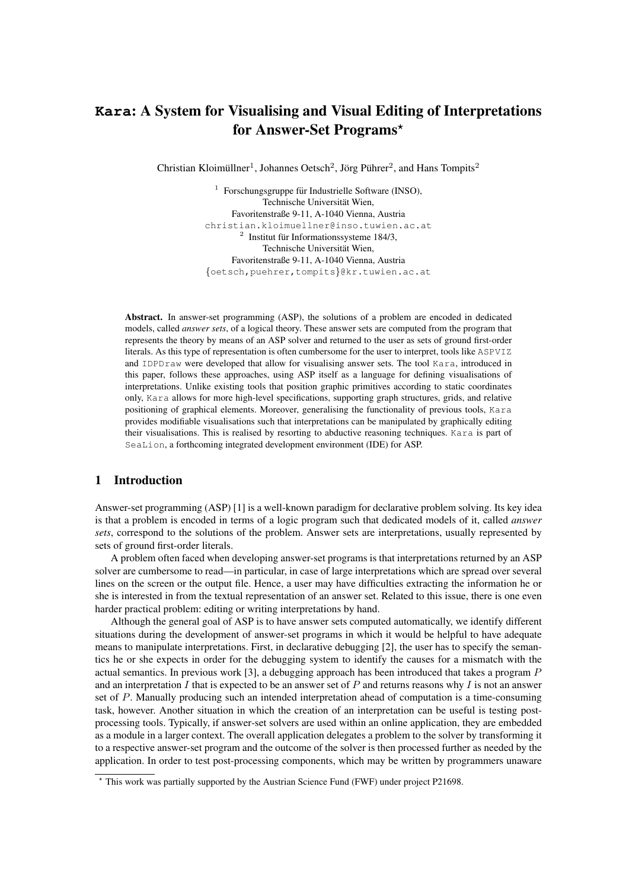# **Kara**: A System for Visualising and Visual Editing of Interpretations for Answer-Set Programs\*

Christian Kloimüllner<sup>1</sup>, Johannes Oetsch<sup>2</sup>, Jörg Pührer<sup>2</sup>, and Hans Tompits<sup>2</sup>

<sup>1</sup> Forschungsgruppe für Industrielle Software (INSO), Technische Universität Wien, Favoritenstraße 9-11, A-1040 Vienna, Austria christian.kloimuellner@inso.tuwien.ac.at  $2$  Institut für Informationssysteme 184/3, Technische Universität Wien, Favoritenstraße 9-11, A-1040 Vienna, Austria {oetsch,puehrer,tompits}@kr.tuwien.ac.at

Abstract. In answer-set programming (ASP), the solutions of a problem are encoded in dedicated models, called *answer sets*, of a logical theory. These answer sets are computed from the program that represents the theory by means of an ASP solver and returned to the user as sets of ground first-order literals. As this type of representation is often cumbersome for the user to interpret, tools like ASPVIZ and IDPDraw were developed that allow for visualising answer sets. The tool Kara, introduced in this paper, follows these approaches, using ASP itself as a language for defining visualisations of interpretations. Unlike existing tools that position graphic primitives according to static coordinates only, Kara allows for more high-level specifications, supporting graph structures, grids, and relative positioning of graphical elements. Moreover, generalising the functionality of previous tools, Kara provides modifiable visualisations such that interpretations can be manipulated by graphically editing their visualisations. This is realised by resorting to abductive reasoning techniques. Kara is part of SeaLion, a forthcoming integrated development environment (IDE) for ASP.

# 1 Introduction

Answer-set programming (ASP) [1] is a well-known paradigm for declarative problem solving. Its key idea is that a problem is encoded in terms of a logic program such that dedicated models of it, called *answer sets*, correspond to the solutions of the problem. Answer sets are interpretations, usually represented by sets of ground first-order literals.

A problem often faced when developing answer-set programs is that interpretations returned by an ASP solver are cumbersome to read—in particular, in case of large interpretations which are spread over several lines on the screen or the output file. Hence, a user may have difficulties extracting the information he or she is interested in from the textual representation of an answer set. Related to this issue, there is one even harder practical problem: editing or writing interpretations by hand.

Although the general goal of ASP is to have answer sets computed automatically, we identify different situations during the development of answer-set programs in which it would be helpful to have adequate means to manipulate interpretations. First, in declarative debugging [2], the user has to specify the semantics he or she expects in order for the debugging system to identify the causes for a mismatch with the actual semantics. In previous work [3], a debugging approach has been introduced that takes a program P and an interpretation I that is expected to be an answer set of P and returns reasons why I is not an answer set of P. Manually producing such an intended interpretation ahead of computation is a time-consuming task, however. Another situation in which the creation of an interpretation can be useful is testing postprocessing tools. Typically, if answer-set solvers are used within an online application, they are embedded as a module in a larger context. The overall application delegates a problem to the solver by transforming it to a respective answer-set program and the outcome of the solver is then processed further as needed by the application. In order to test post-processing components, which may be written by programmers unaware

<sup>?</sup> This work was partially supported by the Austrian Science Fund (FWF) under project P21698.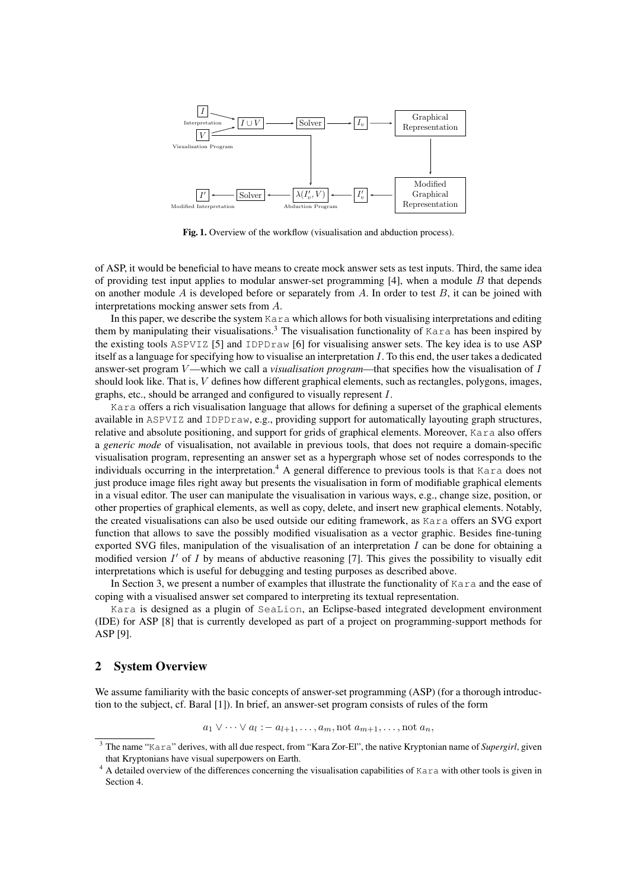

Fig. 1. Overview of the workflow (visualisation and abduction process).

of ASP, it would be beneficial to have means to create mock answer sets as test inputs. Third, the same idea of providing test input applies to modular answer-set programming  $[4]$ , when a module B that depends on another module A is developed before or separately from A. In order to test  $B$ , it can be joined with interpretations mocking answer sets from A.

In this paper, we describe the system  $Kara$  which allows for both visualising interpretations and editing them by manipulating their visualisations.<sup>3</sup> The visualisation functionality of Kara has been inspired by the existing tools ASPVIZ [5] and IDPDraw [6] for visualising answer sets. The key idea is to use ASP itself as a language for specifying how to visualise an interpretation I. To this end, the user takes a dedicated answer-set program V—which we call a *visualisation program*—that specifies how the visualisation of I should look like. That is, V defines how different graphical elements, such as rectangles, polygons, images, graphs, etc., should be arranged and configured to visually represent I.

Kara offers a rich visualisation language that allows for defining a superset of the graphical elements available in ASPVIZ and IDPDraw, e.g., providing support for automatically layouting graph structures, relative and absolute positioning, and support for grids of graphical elements. Moreover, Kara also offers a *generic mode* of visualisation, not available in previous tools, that does not require a domain-specific visualisation program, representing an answer set as a hypergraph whose set of nodes corresponds to the individuals occurring in the interpretation.<sup>4</sup> A general difference to previous tools is that Kara does not just produce image files right away but presents the visualisation in form of modifiable graphical elements in a visual editor. The user can manipulate the visualisation in various ways, e.g., change size, position, or other properties of graphical elements, as well as copy, delete, and insert new graphical elements. Notably, the created visualisations can also be used outside our editing framework, as Kara offers an SVG export function that allows to save the possibly modified visualisation as a vector graphic. Besides fine-tuning exported SVG files, manipulation of the visualisation of an interpretation I can be done for obtaining a modified version  $I'$  of  $I$  by means of abductive reasoning [7]. This gives the possibility to visually edit interpretations which is useful for debugging and testing purposes as described above.

In Section 3, we present a number of examples that illustrate the functionality of Kara and the ease of coping with a visualised answer set compared to interpreting its textual representation.

Kara is designed as a plugin of SeaLion, an Eclipse-based integrated development environment (IDE) for ASP [8] that is currently developed as part of a project on programming-support methods for ASP [9].

# 2 System Overview

We assume familiarity with the basic concepts of answer-set programming (ASP) (for a thorough introduction to the subject, cf. Baral [1]). In brief, an answer-set program consists of rules of the form

 $a_1 \vee \cdots \vee a_l := a_{l+1}, \ldots, a_m$ , not  $a_{m+1}, \ldots$ , not  $a_n$ ,

<sup>3</sup> The name "Kara" derives, with all due respect, from "Kara Zor-El", the native Kryptonian name of *Supergirl*, given that Kryptonians have visual superpowers on Earth.

<sup>&</sup>lt;sup>4</sup> A detailed overview of the differences concerning the visualisation capabilities of Kara with other tools is given in Section 4.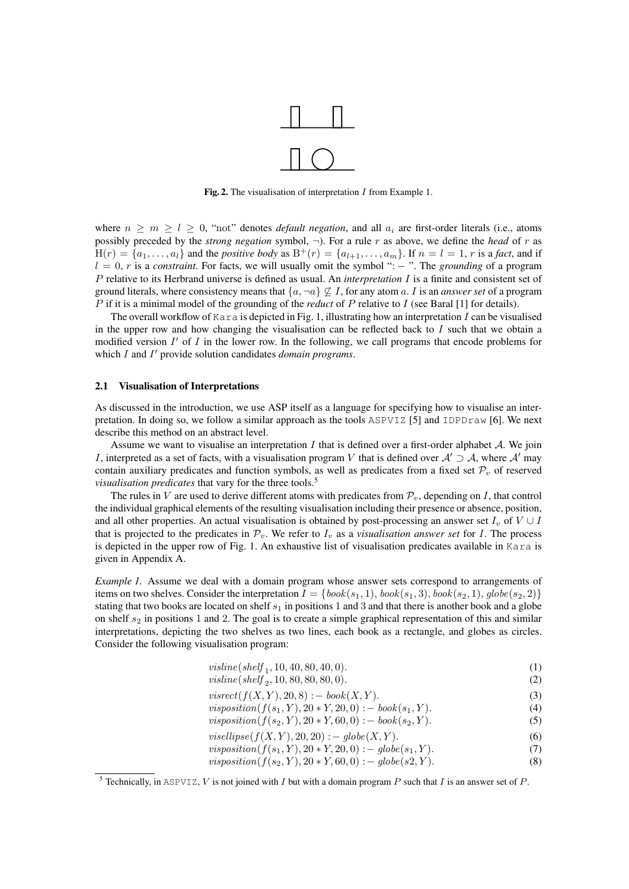

Fig. 2. The visualisation of interpretation I from Example 1.

where  $n \geq m \geq l \geq 0$ , "not" denotes *default negation*, and all  $a_i$  are first-order literals (i.e., atoms possibly preceded by the *strong negation* symbol, ¬). For a rule r as above, we define the *head* of r as  $H(r) = \{a_1, \ldots, a_l\}$  and the *positive body* as  $B^+(r) = \{a_{l+1}, \ldots, a_m\}$ . If  $n = l = 1$ , r is a *fact*, and if l = 0, r is a *constraint*. For facts, we will usually omit the symbol ": − ". The *grounding* of a program P relative to its Herbrand universe is defined as usual. An *interpretation* I is a finite and consistent set of ground literals, where consistency means that  $\{a, \neg a\} \nsubseteq I$ , for any atom a. I is an *answer set* of a program P if it is a minimal model of the grounding of the *reduct* of P relative to I (see Baral [1] for details).

The overall workflow of  $Kara$  is depicted in Fig. 1, illustrating how an interpretation I can be visualised in the upper row and how changing the visualisation can be reflected back to  $I$  such that we obtain a modified version  $I'$  of  $I$  in the lower row. In the following, we call programs that encode problems for which I and I' provide solution candidates *domain programs*.

#### 2.1 Visualisation of Interpretations

As discussed in the introduction, we use ASP itself as a language for specifying how to visualise an interpretation. In doing so, we follow a similar approach as the tools  $\text{ASPVIZ}$  [5] and  $\text{IDPDraw}$  [6]. We next describe this method on an abstract level.

Assume we want to visualise an interpretation  $I$  that is defined over a first-order alphabet  $A$ . We join I, interpreted as a set of facts, with a visualisation program V that is defined over  $A' \supset A$ , where A' may contain auxiliary predicates and function symbols, as well as predicates from a fixed set  $\mathcal{P}_v$  of reserved *visualisation predicates* that vary for the three tools.<sup>5</sup>

The rules in V are used to derive different atoms with predicates from  $\mathcal{P}_v$ , depending on I, that control the individual graphical elements of the resulting visualisation including their presence or absence, position, and all other properties. An actual visualisation is obtained by post-processing an answer set  $I_v$  of  $V \cup I$ that is projected to the predicates in  $\mathcal{P}_v$ . We refer to  $I_v$  as a *visualisation answer set* for I. The process is depicted in the upper row of Fig. 1. An exhaustive list of visualisation predicates available in Kara is given in Appendix A.

*Example 1.* Assume we deal with a domain program whose answer sets correspond to arrangements of items on two shelves. Consider the interpretation  $I = \{book(s_1, 1), book(s_1, 3), book(s_2, 1), globe(s_2, 2)\}$ stating that two books are located on shelf  $s_1$  in positions 1 and 3 and that there is another book and a globe on shelf  $s_2$  in positions 1 and 2. The goal is to create a simple graphical representation of this and similar interpretations, depicting the two shelves as two lines, each book as a rectangle, and globes as circles. Consider the following visualisation program:

| visline(shelf <sub>1</sub> , 10, 40, 80, 40, 0). |  |
|--------------------------------------------------|--|
| $\sim$ $\sim$ $\sim$ $\sim$ $\sim$ $\sim$        |  |

| visline(shelf $_2$ , 10, 80, 80, 80, 0).            |  |
|-----------------------------------------------------|--|
| <i>visrect</i> ( $f(X, Y), 20, 8$ ) : - book(X, Y). |  |

| $\frac{1}{2}$ (1, $\frac{1}{2}$ , $\frac{1}{2}$ , $\frac{1}{2}$ , $\frac{1}{2}$ , $\frac{1}{2}$ , $\frac{1}{2}$ , $\frac{1}{2}$ , $\frac{1}{2}$ , $\frac{1}{2}$ , $\frac{1}{2}$ |                                                                         |     |
|---------------------------------------------------------------------------------------------------------------------------------------------------------------------------------|-------------------------------------------------------------------------|-----|
|                                                                                                                                                                                 | <i>visposition</i> ( $f(s_1, Y), 20 * Y, 20, 0$ ) : - book( $s_1, Y$ ). | (4) |

$$
visposition(f(s_2, Y), 20 * Y, 60, 0) : - \text{book}(s_2, Y). \tag{5}
$$

- $visellipse(f(X, Y), 20, 20) := qlobe(X, Y).$  (6)
- $visposition(f(s_1, Y), 20 * Y, 20, 0) := globe(s_1, Y).$  (7)
- $visposition(f(s_2, Y), 20 * Y, 60, 0) := globes(2, Y).$  (8)

<sup>&</sup>lt;sup>5</sup> Technically, in ASPVIZ, *V* is not joined with *I* but with a domain program *P* such that *I* is an answer set of *P*.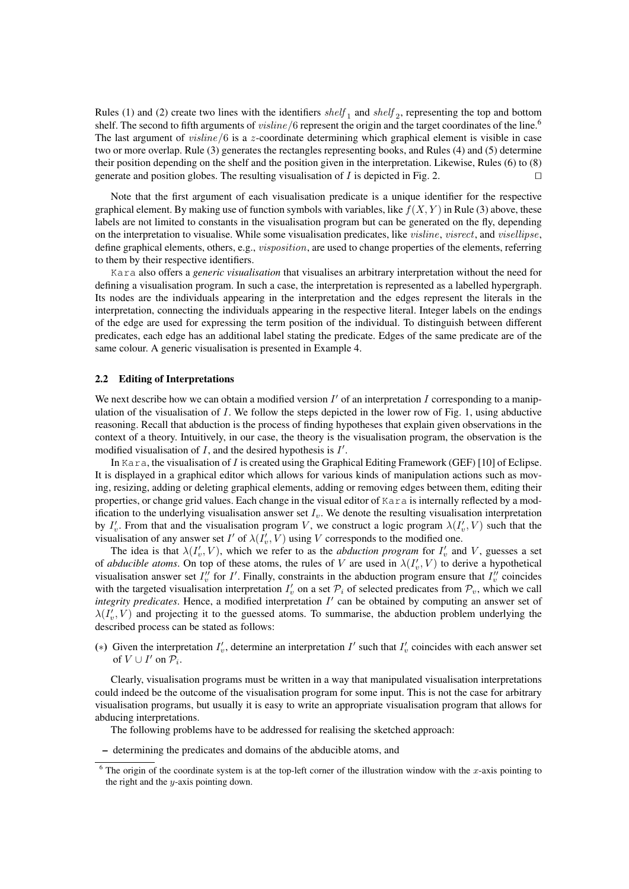Rules (1) and (2) create two lines with the identifiers  $shelf_1$  and  $shelf_2$ , representing the top and bottom shelf. The second to fifth arguments of *visline*/6 represent the origin and the target coordinates of the line.<sup>6</sup> The last argument of *visline*/6 is a z-coordinate determining which graphical element is visible in case two or more overlap. Rule (3) generates the rectangles representing books, and Rules (4) and (5) determine their position depending on the shelf and the position given in the interpretation. Likewise, Rules (6) to (8) generate and position globes. The resulting visualisation of I is depicted in Fig. 2.

Note that the first argument of each visualisation predicate is a unique identifier for the respective graphical element. By making use of function symbols with variables, like  $f(X, Y)$  in Rule (3) above, these labels are not limited to constants in the visualisation program but can be generated on the fly, depending on the interpretation to visualise. While some visualisation predicates, like visline, visrect, and visellipse, define graphical elements, others, e.g., *visposition*, are used to change properties of the elements, referring to them by their respective identifiers.

Kara also offers a *generic visualisation* that visualises an arbitrary interpretation without the need for defining a visualisation program. In such a case, the interpretation is represented as a labelled hypergraph. Its nodes are the individuals appearing in the interpretation and the edges represent the literals in the interpretation, connecting the individuals appearing in the respective literal. Integer labels on the endings of the edge are used for expressing the term position of the individual. To distinguish between different predicates, each edge has an additional label stating the predicate. Edges of the same predicate are of the same colour. A generic visualisation is presented in Example 4.

#### 2.2 Editing of Interpretations

We next describe how we can obtain a modified version  $I'$  of an interpretation  $I$  corresponding to a manipulation of the visualisation of  $I$ . We follow the steps depicted in the lower row of Fig. 1, using abductive reasoning. Recall that abduction is the process of finding hypotheses that explain given observations in the context of a theory. Intuitively, in our case, the theory is the visualisation program, the observation is the modified visualisation of  $I$ , and the desired hypothesis is  $I'$ .

In Kara, the visualisation of I is created using the Graphical Editing Framework (GEF) [10] of Eclipse. It is displayed in a graphical editor which allows for various kinds of manipulation actions such as moving, resizing, adding or deleting graphical elements, adding or removing edges between them, editing their properties, or change grid values. Each change in the visual editor of Kara is internally reflected by a modification to the underlying visualisation answer set  $I_v$ . We denote the resulting visualisation interpretation by  $I'_v$ . From that and the visualisation program V, we construct a logic program  $\lambda(I'_v, V)$  such that the visualisation of any answer set  $I'$  of  $\lambda(I'_v, V)$  using V corresponds to the modified one.

The idea is that  $\lambda(I'_v, V)$ , which we refer to as the *abduction program* for  $I'_v$  and V, guesses a set of *abducible atoms*. On top of these atoms, the rules of V are used in  $\lambda(I'_v, V)$  to derive a hypothetical visualisation answer set  $I''_v$  for I'. Finally, constraints in the abduction program ensure that  $I''_v$  coincides with the targeted visualisation interpretation  $I'_v$  on a set  $P_i$  of selected predicates from  $P_v$ , which we call  $integrity\ predicate$ s. Hence, a modified interpretation  $I'$  can be obtained by computing an answer set of  $\lambda(I'_v, V)$  and projecting it to the guessed atoms. To summarise, the abduction problem underlying the described process can be stated as follows:

(\*) Given the interpretation  $I'_v$ , determine an interpretation  $I'$  such that  $I'_v$  coincides with each answer set of  $V \cup I'$  on  $\mathcal{P}_i$ .

Clearly, visualisation programs must be written in a way that manipulated visualisation interpretations could indeed be the outcome of the visualisation program for some input. This is not the case for arbitrary visualisation programs, but usually it is easy to write an appropriate visualisation program that allows for abducing interpretations.

The following problems have to be addressed for realising the sketched approach:

– determining the predicates and domains of the abducible atoms, and

 $6$  The origin of the coordinate system is at the top-left corner of the illustration window with the x-axis pointing to the right and the  $y$ -axis pointing down.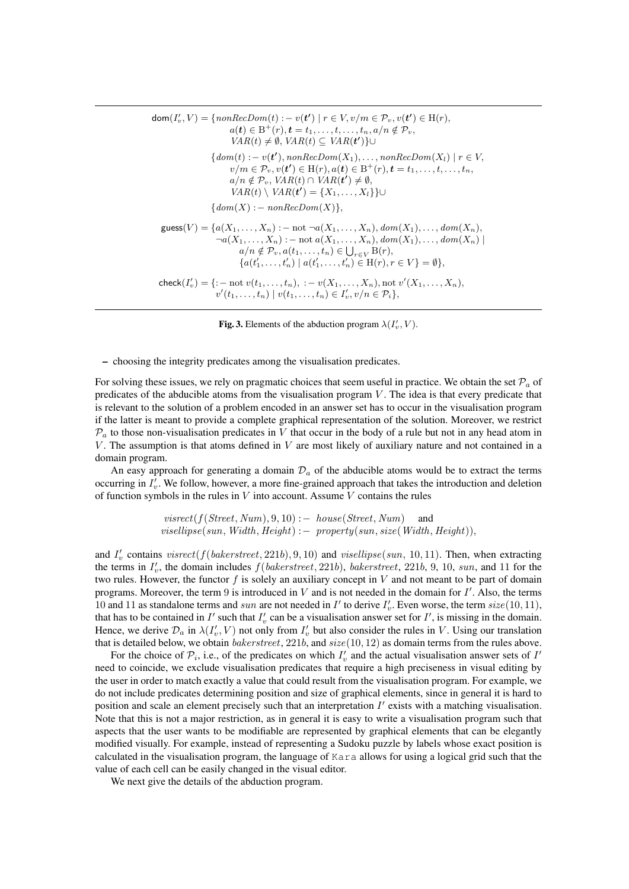$\mathsf{dom}(I'_v,V) = \{\mathit{nonRecDom}(t) : -\ v(\boldsymbol{t}') \mid r \in V, v/m \in \mathcal{P}_v, v(\boldsymbol{t}') \in \mathrm{H}(r),$  $a(t) \in \mathrm{B}^+(r), t = t_1, \ldots, t, \ldots, t_n, a/n \notin \mathcal{P}_v,$  $VAR(t) \neq \emptyset$ ,  $VAR(t) \subseteq VAR(t')$ }∪  $\{dom(t) : -v(t'), nonRecDom(X_1), \ldots, nonRecDom(X_l) \mid r \in V, \}$  $v/m \in \mathcal{P}_v, v(\mathbf{t}') \in H(r), a(\mathbf{t}) \in B^+(r), \mathbf{t} = t_1, \dots, t, \dots, t_n,$  $a/n \notin \mathcal{P}_v, \text{VAR}(t) \cap \text{VAR}(t') \neq \emptyset,$  $VAR(t) \setminus VAR(t') = \{X_1, \ldots, X_l\}\}$ ∪  ${dom(X) := nonRecDom(X)},$  $guess(V) = {a(X_1, ..., X_n) : - not \neg a(X_1, ..., X_n), dom(X_1), ..., dom(X_n)},$  $\neg a(X_1, ..., X_n) := \text{not } a(X_1, ..., X_n), \text{dom}(X_1), ..., \text{dom}(X_n)$  $a/n \notin \mathcal{P}_v, a(t_1, \ldots, t_n) \in \bigcup_{r \in V} B(r),$  ${a(t'_1, \ldots, t'_n) \mid a(t'_1, \ldots, t'_n) \in H(r), r \in V} = \emptyset$ , check $(I'_v) = \{ : - \text{ not } v(t_1, \ldots, t_n) , : -v(X_1, \ldots, X_n) , \text{not } v'(X_1, \ldots, X_n) \}$  $v'(t_1,...,t_n) | v(t_1,...,t_n) \in I'_v, v/n \in \mathcal{P}_i$ 

Fig. 3. Elements of the abduction program  $\lambda(I'_v, V)$ .

– choosing the integrity predicates among the visualisation predicates.

For solving these issues, we rely on pragmatic choices that seem useful in practice. We obtain the set  $\mathcal{P}_a$  of predicates of the abducible atoms from the visualisation program  $V$ . The idea is that every predicate that is relevant to the solution of a problem encoded in an answer set has to occur in the visualisation program if the latter is meant to provide a complete graphical representation of the solution. Moreover, we restrict  $P_a$  to those non-visualisation predicates in V that occur in the body of a rule but not in any head atom in V. The assumption is that atoms defined in  $V$  are most likely of auxiliary nature and not contained in a domain program.

An easy approach for generating a domain  $\mathcal{D}_a$  of the abducible atoms would be to extract the terms occurring in  $I'_v$ . We follow, however, a more fine-grained approach that takes the introduction and deletion of function symbols in the rules in  $V$  into account. Assume  $V$  contains the rules

> $visrect(f(Street, Num), 9, 10) := house(Street, Num)$  and  $vis ellipse(sun, Width, Height) :- property(sun, size(Width, Height)),$

and  $I'_v$  contains  $visrect(f(bakerstreet, 221b), 9, 10)$  and  $visellipse(sun, 10, 11)$ . Then, when extracting the terms in  $I'_v$ , the domain includes  $f(bakerstreet, 221b)$ ,  $bakerstreet, 221b, 9, 10, sun, and 11$  for the two rules. However, the functor f is solely an auxiliary concept in  $V$  and not meant to be part of domain programs. Moreover, the term  $9$  is introduced in  $V$  and is not needed in the domain for  $I'$ . Also, the terms 10 and 11 as standalone terms and sun are not needed in  $I'$  to derive  $I'_v$ . Even worse, the term  $size(10, 11)$ , that has to be contained in  $I'$  such that  $I'_v$  can be a visualisation answer set for  $I'$ , is missing in the domain. Hence, we derive  $\mathcal{D}_a$  in  $\lambda(I'_v, V)$  not only from  $I'_v$  but also consider the rules in V. Using our translation that is detailed below, we obtain *bakerstreet*, 221*b*, and  $size(10, 12)$  as domain terms from the rules above.

For the choice of  $\mathcal{P}_i$ , i.e., of the predicates on which  $I'_v$  and the actual visualisation answer sets of  $I'$ need to coincide, we exclude visualisation predicates that require a high preciseness in visual editing by the user in order to match exactly a value that could result from the visualisation program. For example, we do not include predicates determining position and size of graphical elements, since in general it is hard to position and scale an element precisely such that an interpretation  $I'$  exists with a matching visualisation. Note that this is not a major restriction, as in general it is easy to write a visualisation program such that aspects that the user wants to be modifiable are represented by graphical elements that can be elegantly modified visually. For example, instead of representing a Sudoku puzzle by labels whose exact position is calculated in the visualisation program, the language of Kara allows for using a logical grid such that the value of each cell can be easily changed in the visual editor.

We next give the details of the abduction program.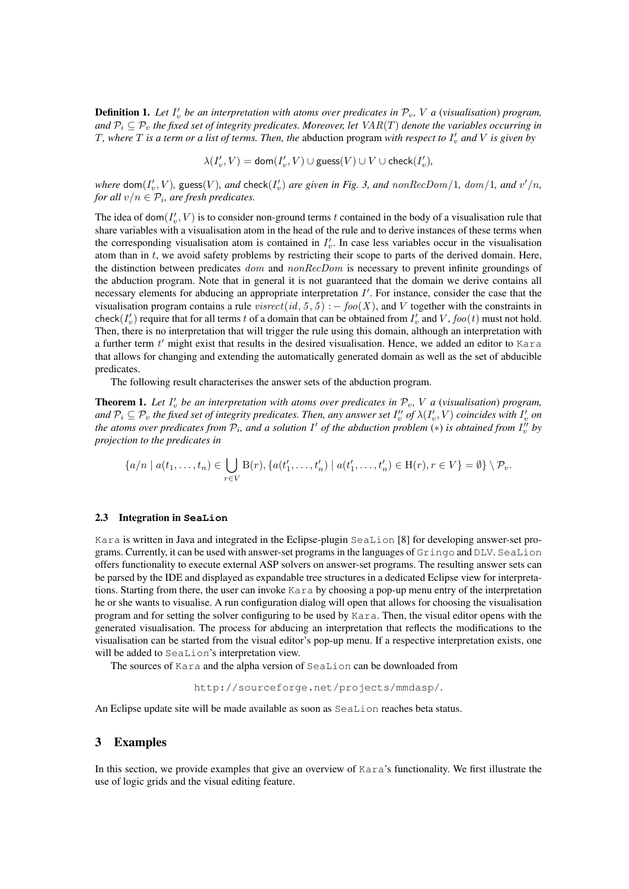**Definition 1.** Let  $I'_v$  be an interpretation with atoms over predicates in  $\mathcal{P}_v$ , V a (visualisation) program, *and*  $P_i \subseteq P_v$  *the fixed set of integrity predicates. Moreover, let*  $VAR(T)$  *denote the variables occurring in* T, where  $T$  is a term or a list of terms. Then, the abduction program with respect to  $I'_v$  and  $V$  is given by

 $\lambda(I'_v,V)={\mathsf{dom}}(I'_v,V)\cup\mathsf{guess}(V)\cup V\cup\mathsf{check}(I'_v),$ 

where  $\textsf{dom}(I'_v, V)$ , guess $(V)$ , and  $\textsf{check}(I'_v)$  are given in Fig. 3, and  $nonRecDom/1$ ,  $dom/1$ , and  $v'/n$ , *for all*  $v/n \in P_i$ , are fresh predicates.

The idea of dom $(I'_v, V)$  is to consider non-ground terms t contained in the body of a visualisation rule that share variables with a visualisation atom in the head of the rule and to derive instances of these terms when the corresponding visualisation atom is contained in  $I'_v$ . In case less variables occur in the visualisation atom than in  $t$ , we avoid safety problems by restricting their scope to parts of the derived domain. Here, the distinction between predicates *dom* and nonRecDom is necessary to prevent infinite groundings of the abduction program. Note that in general it is not guaranteed that the domain we derive contains all necessary elements for abducing an appropriate interpretation  $I'$ . For instance, consider the case that the visualisation program contains a rule visrect(id, 5, 5) : – foo(X), and V together with the constraints in check $(I'_v)$  require that for all terms t of a domain that can be obtained from  $I'_v$  and  $V$ ,  $foo(t)$  must not hold. Then, there is no interpretation that will trigger the rule using this domain, although an interpretation with a further term  $t'$  might exist that results in the desired visualisation. Hence, we added an editor to Kara that allows for changing and extending the automatically generated domain as well as the set of abducible predicates.

The following result characterises the answer sets of the abduction program.

**Theorem 1.** Let  $I'_v$  be an interpretation with atoms over predicates in  $\mathcal{P}_v$ , V a (visualisation) program, and  $\mathcal{P}_i\subseteq\mathcal{P}_v$  the fixed set of integrity predicates. Then, any answer set  $I''_v$  of  $\lambda(I'_v,V)$  coincides with  $I'_v$  on the atoms over predicates from  $\mathcal{P}_i$ , and a solution  $I'$  of the abduction problem  $(*)$  is obtained from  $I''_v$  by *projection to the predicates in*

$$
\{a/n \mid a(t_1,\ldots,t_n) \in \bigcup_{r\in V} \mathcal{B}(r), \{a(t'_1,\ldots,t'_n) \mid a(t'_1,\ldots,t'_n) \in \mathcal{H}(r), r\in V\} = \emptyset\} \setminus \mathcal{P}_v.
$$

#### 2.3 Integration in **SeaLion**

Kara is written in Java and integrated in the Eclipse-plugin SeaLion [8] for developing answer-set programs. Currently, it can be used with answer-set programs in the languages of Gringo and DLV. SeaLion offers functionality to execute external ASP solvers on answer-set programs. The resulting answer sets can be parsed by the IDE and displayed as expandable tree structures in a dedicated Eclipse view for interpretations. Starting from there, the user can invoke Kara by choosing a pop-up menu entry of the interpretation he or she wants to visualise. A run configuration dialog will open that allows for choosing the visualisation program and for setting the solver configuring to be used by Kara. Then, the visual editor opens with the generated visualisation. The process for abducing an interpretation that reflects the modifications to the visualisation can be started from the visual editor's pop-up menu. If a respective interpretation exists, one will be added to SeaLion's interpretation view.

The sources of Kara and the alpha version of SeaLion can be downloaded from

http://sourceforge.net/projects/mmdasp/.

An Eclipse update site will be made available as soon as SeaLion reaches beta status.

#### 3 Examples

In this section, we provide examples that give an overview of Kara's functionality. We first illustrate the use of logic grids and the visual editing feature.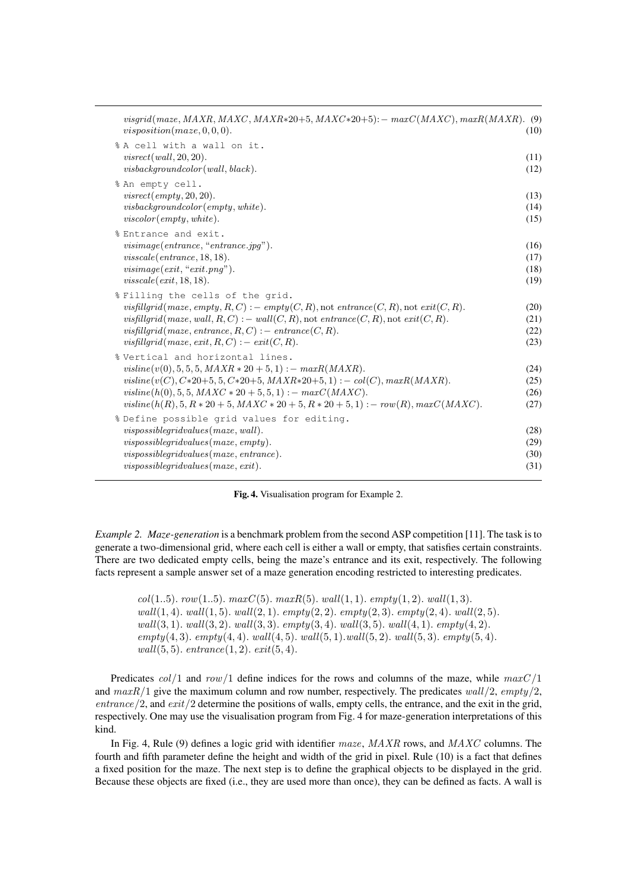| visgrid(maze, MAXR, MAXC, MAXR*20+5, MAXC*20+5): $-$ max $C(MAXC)$ , max $R(MAXR)$ . (9)<br>visposition(maxe, 0, 0, 0).                                                                                                                                                                                                                                      | (10)                         |
|--------------------------------------------------------------------------------------------------------------------------------------------------------------------------------------------------------------------------------------------------------------------------------------------------------------------------------------------------------------|------------------------------|
| % A cell with a wall on it.<br>visrect(wall, 20, 20).<br>visback groundcolor(wall, black).                                                                                                                                                                                                                                                                   | (11)<br>(12)                 |
| % An empty cell.<br>visrect(empty, 20, 20).<br>visback groundcolor(empty, white).<br>viscolor(empty, white).                                                                                                                                                                                                                                                 | (13)<br>(14)<br>(15)         |
| % Entrance and exit.<br>visimage(entrance, "entrance.jpg").<br>visscale(entrance, 18, 18).<br>visimage(cxit, "exit.png").<br>visscale(exit, 18, 18).                                                                                                                                                                                                         | (16)<br>(17)<br>(18)<br>(19) |
| % Filling the cells of the grid.<br>visfillgrid (maze, empty, R, C) : – empty $(C, R)$ , not entrance $(C, R)$ , not exit $(C, R)$ .<br>visfillgrid(maze, wall, $R, C$ ) : – wall( $C, R$ ), not entrance( $C, R$ ), not exit( $C, R$ ).<br>visfillgrid(maze, entrance, $R, C$ ) : – entrance( $C, R$ ).<br>visfillgrid(maze, exit, $R, C$ ) : – exit(C, R). | (20)<br>(21)<br>(22)<br>(23) |
| % Vertical and horizontal lines.<br>$visible(v(0), 5, 5, 5, MAXR * 20 + 5, 1) :- maxR(MAXR).$<br>$visible(v(C), C*20+5, 5, C*20+5, MAXR*20+5, 1) :- col(C), maxR(MAXR).$<br>$visible(h(0), 5, 5, MAXC * 20 + 5, 5, 1) :- maxC(MAXC).$<br>visline $(h(R), 5, R * 20 + 5, MAXC * 20 + 5, R * 20 + 5, 1)$ : – row $(R), maxC(MAXC)$ .                           | (24)<br>(25)<br>(26)<br>(27) |
| % Define possible grid values for editing.<br>$vis possible grid values (maxe, wall).$<br>$vis possible grid values (maxe, empty).$<br>$vis possible grid values (maxe, entrance).$<br>$vis possible grid values (maxe, exit).$                                                                                                                              | (28)<br>(29)<br>(30)<br>(31) |

Fig. 4. Visualisation program for Example 2.

*Example 2. Maze-generation* is a benchmark problem from the second ASP competition [11]. The task is to generate a two-dimensional grid, where each cell is either a wall or empty, that satisfies certain constraints. There are two dedicated empty cells, being the maze's entrance and its exit, respectively. The following facts represent a sample answer set of a maze generation encoding restricted to interesting predicates.

 $col(1..5)$ .  $row(1..5)$ .  $maxC(5)$ .  $maxR(5)$ .  $wall(1, 1)$ .  $empty(1, 2)$ .  $wall(1, 3)$ .  $wall(1, 4)$ .  $wall(1, 5)$ .  $wall(2, 1)$ .  $empty(2, 2)$ .  $empty(2, 3)$ .  $empty(2, 4)$ .  $wall(2, 5)$ .  $wall(3, 1).$   $wall(3, 2).$   $wall(3, 3).$   $empty(3, 4).$   $wall(3, 5).$   $wall(4, 1).$   $empty(4, 2).$ empty $(4, 3)$ . empty $(4, 4)$ . wall $(4, 5)$ . wall $(5, 1)$ . wall $(5, 2)$ . wall $(5, 3)$ . empty $(5, 4)$ .  $wall(5, 5)$ .  $entrance(1, 2)$ .  $exit(5, 4)$ .

Predicates  $col/1$  and  $row/1$  define indices for the rows and columns of the maze, while  $maxC/1$ and  $maxR/1$  give the maximum column and row number, respectively. The predicates  $wall/2$ ,  $empty/2$ ,  $entrance/2$ , and  $exit/2$  determine the positions of walls, empty cells, the entrance, and the exit in the grid, respectively. One may use the visualisation program from Fig. 4 for maze-generation interpretations of this kind.

In Fig. 4, Rule (9) defines a logic grid with identifier  $maze$ ,  $MAXR$  rows, and  $MAXC$  columns. The fourth and fifth parameter define the height and width of the grid in pixel. Rule (10) is a fact that defines a fixed position for the maze. The next step is to define the graphical objects to be displayed in the grid. Because these objects are fixed (i.e., they are used more than once), they can be defined as facts. A wall is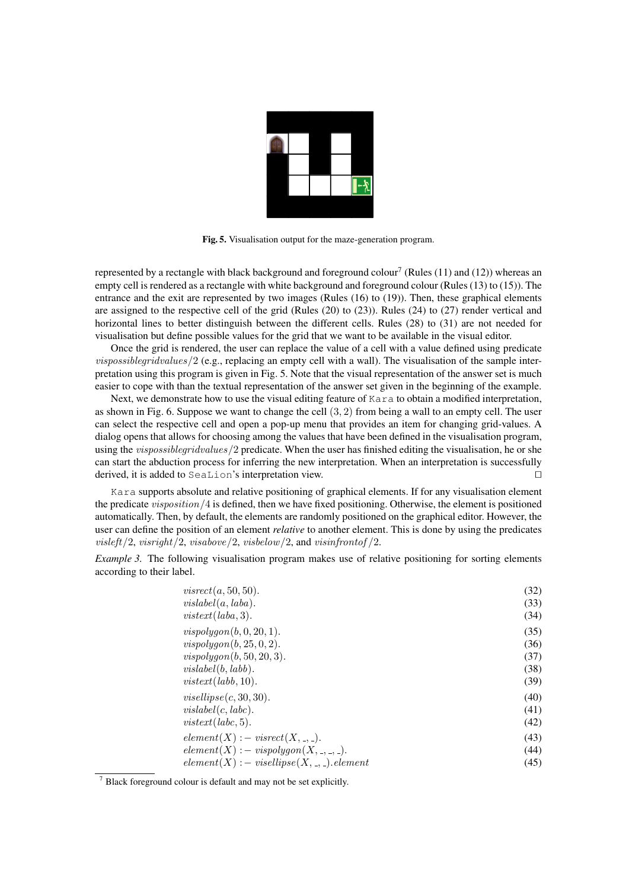

Fig. 5. Visualisation output for the maze-generation program.

represented by a rectangle with black background and foreground colour<sup>7</sup> (Rules (11) and (12)) whereas an empty cell is rendered as a rectangle with white background and foreground colour (Rules (13) to (15)). The entrance and the exit are represented by two images (Rules (16) to (19)). Then, these graphical elements are assigned to the respective cell of the grid (Rules (20) to (23)). Rules (24) to (27) render vertical and horizontal lines to better distinguish between the different cells. Rules (28) to (31) are not needed for visualisation but define possible values for the grid that we want to be available in the visual editor.

Once the grid is rendered, the user can replace the value of a cell with a value defined using predicate *vispossiblegridvalues*/2 (e.g., replacing an empty cell with a wall). The visualisation of the sample interpretation using this program is given in Fig. 5. Note that the visual representation of the answer set is much easier to cope with than the textual representation of the answer set given in the beginning of the example.

Next, we demonstrate how to use the visual editing feature of Kara to obtain a modified interpretation, as shown in Fig. 6. Suppose we want to change the cell  $(3, 2)$  from being a wall to an empty cell. The user can select the respective cell and open a pop-up menu that provides an item for changing grid-values. A dialog opens that allows for choosing among the values that have been defined in the visualisation program, using the *vispossiblegridvalues*/2 predicate. When the user has finished editing the visualisation, he or she can start the abduction process for inferring the new interpretation. When an interpretation is successfully derived, it is added to SeaLion's interpretation view.  $\Box$ 

Kara supports absolute and relative positioning of graphical elements. If for any visualisation element the predicate visposition/4 is defined, then we have fixed positioning. Otherwise, the element is positioned automatically. Then, by default, the elements are randomly positioned on the graphical editor. However, the user can define the position of an element *relative* to another element. This is done by using the predicates  $visleft/2$ ,  $visright/2$ ,  $visabove/2$ ,  $visbelow/2$ , and  $visinfrontof/2$ .

*Example 3.* The following visualisation program makes use of relative positioning for sorting elements according to their label.

| visrect(a, 50, 50).                      | (32) |
|------------------------------------------|------|
| vislabel(a, laba).                       | (33) |
| vistext(laba, 3).                        | (34) |
| vispolygon(b, 0, 20, 1).                 | (35) |
| vispolygon(b, 25, 0, 2).                 | (36) |
| vispolygon(b, 50, 20, 3).                | (37) |
| visiblel(b, labb).                       | (38) |
| vistext(labb, 10).                       | (39) |
| vis ellipse(c, 30, 30).                  | (40) |
| visiblel(c, labc).                       | (41) |
| vistext(labc, 5).                        | (42) |
| $element(X) := visrect(X, \_, \_).$      | (43) |
| $element(X) := vispolygon(X, \_,\_,\_).$ | (44) |
| $element(X) : - visible(X, , ). element$ | (45) |

<sup>7</sup> Black foreground colour is default and may not be set explicitly.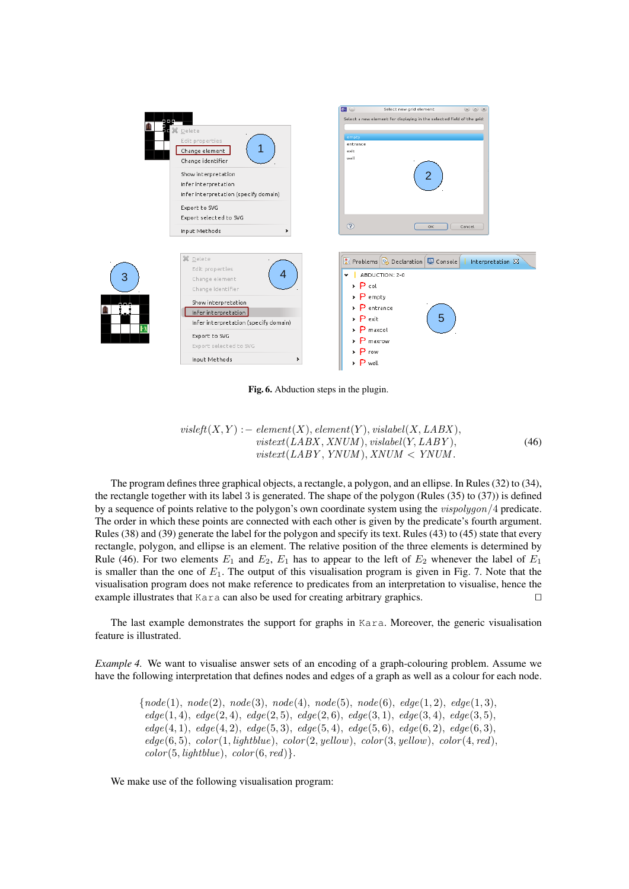

Fig. 6. Abduction steps in the plugin.

$$
visleft(X, Y) := element(X), element(Y), visible(X, LABX), vistext(LABX, XNUM), visible(Y, LABY), vistext(LABY, YNUM), XNUM < YNUM.
$$
 (46)

The program defines three graphical objects, a rectangle, a polygon, and an ellipse. In Rules (32) to (34), the rectangle together with its label 3 is generated. The shape of the polygon (Rules (35) to (37)) is defined by a sequence of points relative to the polygon's own coordinate system using the *vispolygon*/4 predicate. The order in which these points are connected with each other is given by the predicate's fourth argument. Rules (38) and (39) generate the label for the polygon and specify its text. Rules (43) to (45) state that every rectangle, polygon, and ellipse is an element. The relative position of the three elements is determined by Rule (46). For two elements  $E_1$  and  $E_2$ ,  $E_1$  has to appear to the left of  $E_2$  whenever the label of  $E_1$ is smaller than the one of  $E_1$ . The output of this visualisation program is given in Fig. 7. Note that the visualisation program does not make reference to predicates from an interpretation to visualise, hence the example illustrates that Kara can also be used for creating arbitrary graphics.  $\square$ 

The last example demonstrates the support for graphs in Kara. Moreover, the generic visualisation feature is illustrated.

*Example 4.* We want to visualise answer sets of an encoding of a graph-colouring problem. Assume we have the following interpretation that defines nodes and edges of a graph as well as a colour for each node.

> { $node(1), node(2), node(3), node(4), node(5), node(6), edge(1, 2), edge(1, 3),$  $edge(1, 4), edge(2, 4), edge(2, 5), edge(2, 6), edge(3, 1), edge(3, 4), edge(3, 5),$  $edge(4, 1), edge(4, 2), edge(5, 3), edge(5, 4), edge(5, 6), edge(6, 2), edge(6, 3),$  $edge(6, 5), color(1, lightblue), color(2, yellow), color(3, yellow), color(4, red),$  $color(5, lightblue), color(6, red).$

We make use of the following visualisation program: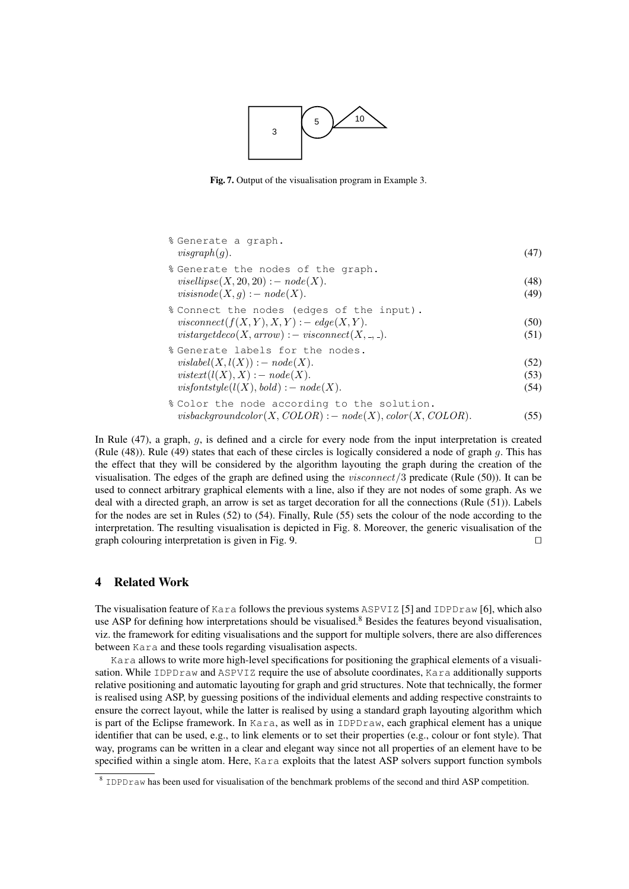

Fig. 7. Output of the visualisation program in Example 3.

| % Generate a graph.<br>visgraph(g).                                                                                                                  | (47)                 |
|------------------------------------------------------------------------------------------------------------------------------------------------------|----------------------|
| % Generate the nodes of the graph.<br>$vis ellipse(X, 20, 20) : - node(X).$<br>visisnode $(X, g)$ : – node $(X)$ .                                   | (48)<br>(49)         |
| % Connect the nodes (edges of the input).<br><i>visconnect</i> $(f(X, Y), X, Y) := edge(X, Y)$ .<br>vistargetdeco(X, arrow) : – visconnect(X, ., .). | (50)<br>(51)         |
| % Generate labels for the nodes.<br>$visiblel(X, l(X)) := node(X).$<br>$visteret(l(X), X) : - node(X).$<br>visfontstyle( $l(X)$ , bold) : – node(X). | (52)<br>(53)<br>(54) |
| % Color the node according to the solution.                                                                                                          |                      |

$$
visbackgroundcolor(X, COLOR) : - node(X), color(X, COLOR). \tag{55}
$$

In Rule  $(47)$ , a graph, q, is defined and a circle for every node from the input interpretation is created (Rule (48)). Rule (49) states that each of these circles is logically considered a node of graph g. This has the effect that they will be considered by the algorithm layouting the graph during the creation of the visualisation. The edges of the graph are defined using the *visconnect*  $/3$  predicate (Rule (50)). It can be used to connect arbitrary graphical elements with a line, also if they are not nodes of some graph. As we deal with a directed graph, an arrow is set as target decoration for all the connections (Rule (51)). Labels for the nodes are set in Rules (52) to (54). Finally, Rule (55) sets the colour of the node according to the interpretation. The resulting visualisation is depicted in Fig. 8. Moreover, the generic visualisation of the graph colouring interpretation is given in Fig. 9.  $\Box$ 

## 4 Related Work

The visualisation feature of Kara follows the previous systems ASPVIZ [5] and IDPDraw [6], which also use ASP for defining how interpretations should be visualised.<sup>8</sup> Besides the features beyond visualisation, viz. the framework for editing visualisations and the support for multiple solvers, there are also differences between Kara and these tools regarding visualisation aspects.

Kara allows to write more high-level specifications for positioning the graphical elements of a visualisation. While IDPDraw and ASPVIZ require the use of absolute coordinates, Kara additionally supports relative positioning and automatic layouting for graph and grid structures. Note that technically, the former is realised using ASP, by guessing positions of the individual elements and adding respective constraints to ensure the correct layout, while the latter is realised by using a standard graph layouting algorithm which is part of the Eclipse framework. In Kara, as well as in IDPDraw, each graphical element has a unique identifier that can be used, e.g., to link elements or to set their properties (e.g., colour or font style). That way, programs can be written in a clear and elegant way since not all properties of an element have to be specified within a single atom. Here, Kara exploits that the latest ASP solvers support function symbols

<sup>&</sup>lt;sup>8</sup> IDPDraw has been used for visualisation of the benchmark problems of the second and third ASP competition.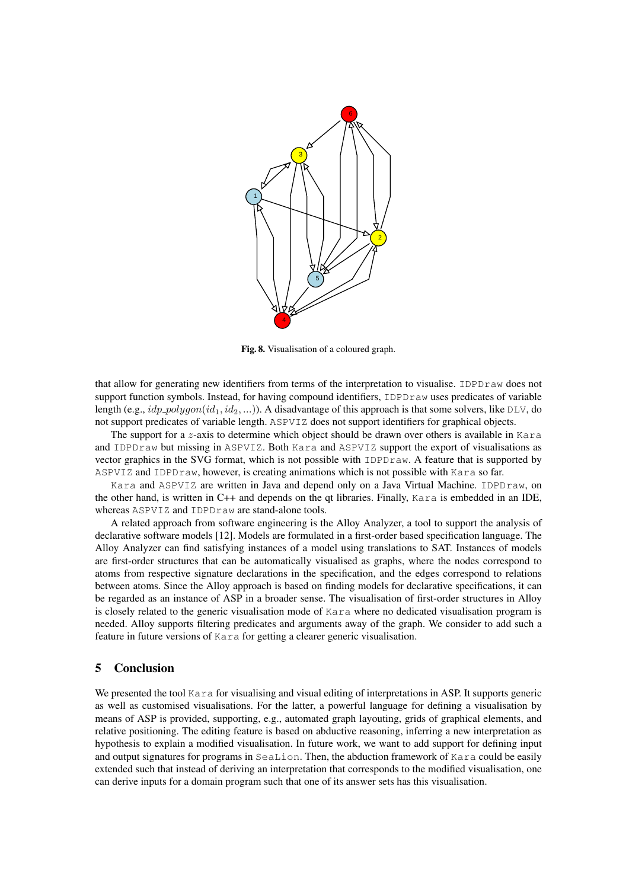

Fig. 8. Visualisation of a coloured graph.

that allow for generating new identifiers from terms of the interpretation to visualise. IDPDraw does not support function symbols. Instead, for having compound identifiers, IDPDraw uses predicates of variable length (e.g.,  $idp\_polygon(id_1, id_2, ...)$ ). A disadvantage of this approach is that some solvers, like DLV, do not support predicates of variable length. ASPVIZ does not support identifiers for graphical objects.

The support for a z-axis to determine which object should be drawn over others is available in Kara and IDPDraw but missing in ASPVIZ. Both Kara and ASPVIZ support the export of visualisations as vector graphics in the SVG format, which is not possible with IDPDraw. A feature that is supported by ASPVIZ and IDPDraw, however, is creating animations which is not possible with Kara so far.

Kara and ASPVIZ are written in Java and depend only on a Java Virtual Machine. IDPDraw, on the other hand, is written in C++ and depends on the qt libraries. Finally, Kara is embedded in an IDE, whereas ASPVIZ and IDPDraw are stand-alone tools.

A related approach from software engineering is the Alloy Analyzer, a tool to support the analysis of declarative software models [12]. Models are formulated in a first-order based specification language. The Alloy Analyzer can find satisfying instances of a model using translations to SAT. Instances of models are first-order structures that can be automatically visualised as graphs, where the nodes correspond to atoms from respective signature declarations in the specification, and the edges correspond to relations between atoms. Since the Alloy approach is based on finding models for declarative specifications, it can be regarded as an instance of ASP in a broader sense. The visualisation of first-order structures in Alloy is closely related to the generic visualisation mode of Kara where no dedicated visualisation program is needed. Alloy supports filtering predicates and arguments away of the graph. We consider to add such a feature in future versions of Kara for getting a clearer generic visualisation.

## 5 Conclusion

We presented the tool Kara for visualising and visual editing of interpretations in ASP. It supports generic as well as customised visualisations. For the latter, a powerful language for defining a visualisation by means of ASP is provided, supporting, e.g., automated graph layouting, grids of graphical elements, and relative positioning. The editing feature is based on abductive reasoning, inferring a new interpretation as hypothesis to explain a modified visualisation. In future work, we want to add support for defining input and output signatures for programs in SeaLion. Then, the abduction framework of Kara could be easily extended such that instead of deriving an interpretation that corresponds to the modified visualisation, one can derive inputs for a domain program such that one of its answer sets has this visualisation.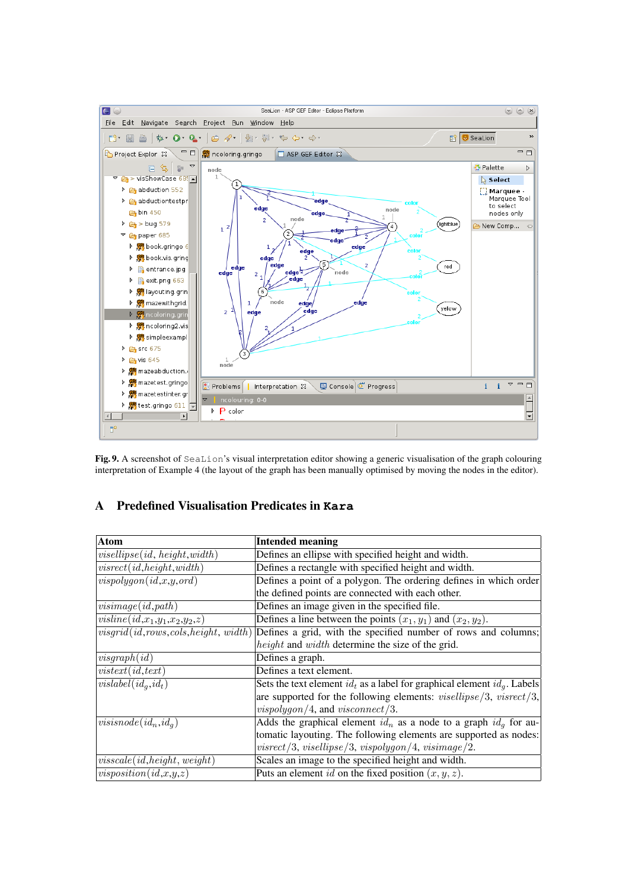

Fig. 9. A screenshot of SeaLion's visual interpretation editor showing a generic visualisation of the graph colouring interpretation of Example 4 (the layout of the graph has been manually optimised by moving the nodes in the editor).

# A Predefined Visualisation Predicates in **Kara**

| <b>Atom</b>                              | <b>Intended meaning</b>                                                       |
|------------------------------------------|-------------------------------------------------------------------------------|
| vis ellipse(id, height, width)           | Defines an ellipse with specified height and width.                           |
| visrect(id, height, width)               | Defines a rectangle with specified height and width.                          |
| vis polygon(id, x, y, ord)               | Defines a point of a polygon. The ordering defines in which order             |
|                                          | the defined points are connected with each other.                             |
| visimage(id, path)                       | Defines an image given in the specified file.                                 |
| visline(id, $x_1,y_1,x_2,y_2,z$ )        | Defines a line between the points $(x_1, y_1)$ and $(x_2, y_2)$ .             |
| $visgrid(id, rows, cols, height, width)$ | Defines a grid, with the specified number of rows and columns;                |
|                                          | height and width determine the size of the grid.                              |
| visgraph(id)                             | Defines a graph.                                                              |
| vistert(id, text)                        | Defines a text element.                                                       |
| $ ~vislabel(id_q, id_t)$                 | Sets the text element $id_t$ as a label for graphical element $id_a$ . Labels |
|                                          | are supported for the following elements: $viselling/3$ , $visrect/3$ ,       |
|                                          | $vis polygon/4$ , and $visconnect/3$ .                                        |
| $visisnode(id_n,id_q)$                   | Adds the graphical element $id_n$ as a node to a graph $id_q$ for au-         |
|                                          | tomatic layouting. The following elements are supported as nodes:             |
|                                          | $visrect/3$ , $visellings$ , $\frac{1}{3}$ , $vis polygon/4$ , $visimage/2$ . |
| visscale(id, height, weight)             | Scales an image to the specified height and width.                            |
| visposition(id, x, y, z)                 | Puts an element id on the fixed position $(x, y, z)$ .                        |